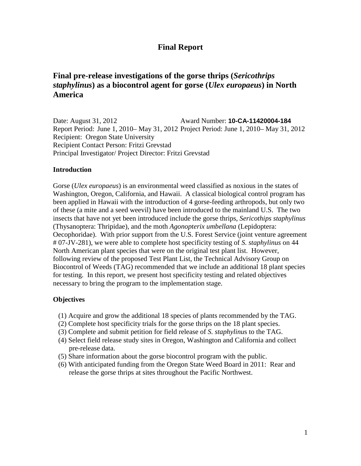# **Final Report**

# **Final pre-release investigations of the gorse thrips (***Sericothrips staphylinus***) as a biocontrol agent for gorse (***Ulex europaeus***) in North America**

Date: August 31, 2012 Report Period: June 1, 2010– May 31, 2012 Project Period: June 1, 2010– May 31, 2012 Award Number: **10-CA-11420004-184** Recipient: Oregon State University Recipient Contact Person: Fritzi Grevstad Principal Investigator/ Project Director: Fritzi Grevstad

#### **Introduction**

 insects that have not yet been introduced include the gorse thrips, *Sericothips staphylinus*  necessary to bring the program to the implementation stage. Gorse (*Ulex europaeus*) is an environmental weed classified as noxious in the states of Washington, Oregon, California, and Hawaii. A classical biological control program has been applied in Hawaii with the introduction of 4 gorse-feeding arthropods, but only two of these (a mite and a seed weevil) have been introduced to the mainland U.S. The two (Thysanoptera: Thripidae), and the moth *Agonopterix umbellana* (Lepidoptera: Oecophoridae). With prior support from the U.S. Forest Service (joint venture agreement # 07-JV-281), we were able to complete host specificity testing of *S. staphylinus* on 44 North American plant species that were on the original test plant list. However, following review of the proposed Test Plant List, the Technical Advisory Group on Biocontrol of Weeds (TAG) recommended that we include an additional 18 plant species for testing. In this report, we present host specificity testing and related objectives

### **Objectives**

- (1) Acquire and grow the additional 18 species of plants recommended by the TAG.
- (2) Complete host specificity trials for the gorse thrips on the 18 plant species.
- (3) Complete and submit petition for field release of *S. staphylinu*s to the TAG.
- (4) Select field release study sites in Oregon, Washington and California and collect pre-release data.
- (5) Share information about the gorse biocontrol program with the public.
- (6) With anticipated funding from the Oregon State Weed Board in 2011: Rear and release the gorse thrips at sites throughout the Pacific Northwest.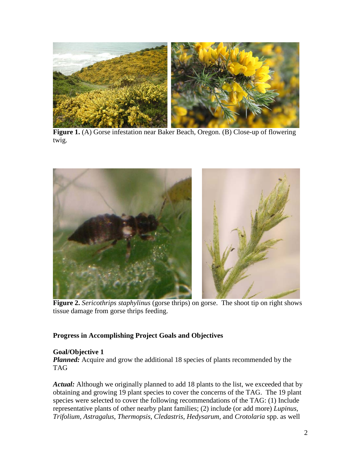

Figure 1. (A) Gorse infestation near Baker Beach, Oregon. (B) Close-up of flowering twig.



**Figure 2.** *Sericothrips staphylinus* (gorse thrips) on gorse. The shoot tip on right shows tissue damage from gorse thrips feeding.

### **Progress in Accomplishing Project Goals and Objectives**

### **Goal/Objective 1**

*Planned:* Acquire and grow the additional 18 species of plants recommended by the TAG

 species were selected to cover the following recommendations of the TAG: (1) Include representative plants of other nearby plant families; (2) include (or add more) *Lupinus, Trifolium, Astragalus*, *Thermopsis*, *Cledastris, Hedysarum*, and *Crotolaria* spp. as well *Actual:* Although we originally planned to add 18 plants to the list, we exceeded that by obtaining and growing 19 plant species to cover the concerns of the TAG. The 19 plant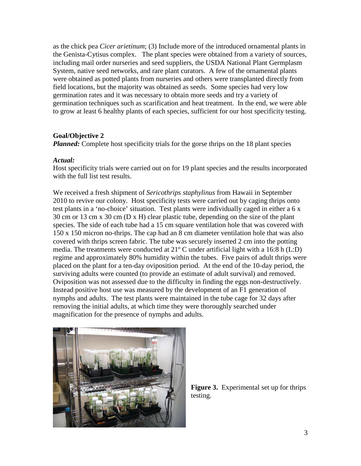were obtained as potted plants from nurseries and others were transplanted directly from germination rates and it was necessary to obtain more seeds and try a variety of to grow at least 6 healthy plants of each species, sufficient for our host specificity testing. as the chick pea *Cicer arietinum*; (3) Include more of the introduced ornamental plants in the Genista-Cytisus complex. The plant species were obtained from a variety of sources, including mail order nurseries and seed suppliers, the USDA National Plant Germplasm System, native seed networks, and rare plant curators. A few of the ornamental plants field locations, but the majority was obtained as seeds. Some species had very low germination techniques such as scarification and heat treatment. In the end, we were able

## **Goal/Objective 2**

*Planned:* Complete host specificity trials for the gorse thrips on the 18 plant species

### *Actual:*

with the full list test results. Host specificity trials were carried out on for 19 plant species and the results incorporated

 2010 to revive our colony. Host specificity tests were carried out by caging thrips onto Oviposition was not assessed due to the difficulty in finding the eggs non-destructively. nymphs and adults. The test plants were maintained in the tube cage for 32 days after magnification for the presence of nymphs and adults. We received a fresh shipment of *Sericothrips staphylinus* from Hawaii in September test plants in a 'no-choice' situation. Test plants were individually caged in either a 6 x 30 cm or 13 cm x 30 cm (D x H) clear plastic tube, depending on the size of the plant species. The side of each tube had a 15 cm square ventilation hole that was covered with 150 x 150 micron no-thrips. The cap had an 8 cm diameter ventilation hole that was also covered with thrips screen fabric. The tube was securely inserted 2 cm into the potting media. The treatments were conducted at 21º C under artificial light with a 16:8 h (L:D) regime and approximately 80% humidity within the tubes. Five pairs of adult thrips were placed on the plant for a ten-day oviposition period. At the end of the 10-day period, the surviving adults were counted (to provide an estimate of adult survival) and removed. Instead positive host use was measured by the development of an F1 generation of removing the initial adults, at which time they were thoroughly searched under



 **Figure 3.** Experimental set up for thrips testing.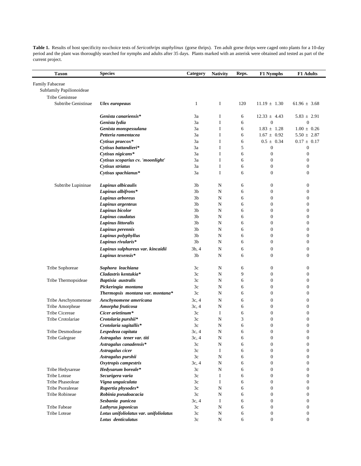| <b>Taxon</b>             | <b>Species</b>                         | Category       | <b>Nativity</b> | Reps. | <b>F1 Nymphs</b> | <b>F1 Adults</b>                 |
|--------------------------|----------------------------------------|----------------|-----------------|-------|------------------|----------------------------------|
| Family Fabaceae          |                                        |                |                 |       |                  |                                  |
| Subfamily Papilionoideae |                                        |                |                 |       |                  |                                  |
| Tribe Genisteae          |                                        |                |                 |       |                  |                                  |
| Subtribe Genistinae      | <b>Ulex</b> europeaus                  | $\mathbf{1}$   | I               | 120   | $11.19 \pm 1.30$ | $61.96 \pm 3.68$                 |
|                          |                                        |                |                 |       |                  |                                  |
|                          | Genista canariensis*                   | 3a             | I               | 6     | $12.33 \pm 4.43$ | $5.83 \pm 2.91$                  |
|                          | Genista lydia                          | 3a             | I               | 6     | $\overline{0}$   | $\boldsymbol{0}$                 |
|                          | Genista monspessulana                  | 3a             | I               | 6     | $1.83 \pm 1.28$  | $1.00 \pm 0.26$                  |
|                          | Petteria ramentacea                    | 3a             | I               | 6     | $1.67 \pm 0.92$  | $5.50 \pm 2.87$                  |
|                          | Cytisus praeco $x^*$                   | 3a             | I               | 6     | $0.5 \pm 0.34$   | $0.17 \pm 0.17$                  |
|                          | Cytisus battandieri*                   | 3a             | I               | 5     | $\mathbf{0}$     | $\boldsymbol{0}$                 |
|                          | Cytisus nigicans*                      | 3a             | I               | 6     | $\boldsymbol{0}$ | $\boldsymbol{0}$                 |
|                          | Cytisus scoparius cv. 'moonlight'      | 3a             | I               | 6     | $\boldsymbol{0}$ | $\boldsymbol{0}$                 |
|                          | Cytisus striatus                       | 3a             | I               | 6     | $\boldsymbol{0}$ | $\boldsymbol{0}$                 |
|                          | Cytisus spachianus*                    | 3a             | I               | 6     | $\boldsymbol{0}$ | $\boldsymbol{0}$                 |
|                          |                                        |                |                 |       |                  |                                  |
| Subtribe Lupininae       | Lupinus albicaulis                     | 3 <sub>b</sub> | N               | 6     | $\mathbf{0}$     | $\boldsymbol{0}$                 |
|                          | Lupinus albifrons*                     | 3b             | N               | 6     | $\boldsymbol{0}$ | $\boldsymbol{0}$                 |
|                          | Lupinus arboreus                       | 3b             | N               | 6     | $\boldsymbol{0}$ | $\mathbf{0}$                     |
|                          | Lupinus argenteus                      | 3b             | N               | 6     | $\overline{0}$   | $\boldsymbol{0}$                 |
|                          | Lupinus bicolor                        | 3b             | N               | 6     | $\overline{0}$   | $\boldsymbol{0}$                 |
|                          | Lupinus caudatus                       | 3 <sub>b</sub> | N               | 6     | $\boldsymbol{0}$ | $\boldsymbol{0}$                 |
|                          | Lupinus littoralis                     | 3b             | N               | 6     | $\mathbf{0}$     | $\mathbf{0}$                     |
|                          | Lupinus perennis                       | 3 <sub>b</sub> | N               | 6     | $\mathbf{0}$     | $\boldsymbol{0}$                 |
|                          | Lupinus polyphyllus                    | 3b             | N               | 6     | $\overline{0}$   | $\boldsymbol{0}$                 |
|                          | Lupinus rivularis*                     | 3b             | N               | 6     | $\overline{0}$   | $\mathbf{0}$                     |
|                          | Lupinus sulphureus var. kincaidii      | 3b, 4          | N               | 6     | $\boldsymbol{0}$ | $\mathbf{0}$                     |
|                          | Lupinus texensis*                      | 3 <sub>b</sub> | N               | 6     | $\overline{0}$   | $\boldsymbol{0}$                 |
| Tribe Sophoreae          | Sophora leachiana                      | 3c             | N               | 6     | $\boldsymbol{0}$ | $\boldsymbol{0}$                 |
|                          | Cladastris kentukia*                   | 3c             | N               | 9     | $\boldsymbol{0}$ | $\boldsymbol{0}$                 |
| Tribe Thermopsideae      |                                        |                |                 |       | $\mathbf{0}$     |                                  |
|                          | Baptisia australis                     | 3c             | N               | 6     | $\boldsymbol{0}$ | $\mathbf{0}$<br>$\boldsymbol{0}$ |
|                          | Pickeringia montana                    | 3c             | N               | 6     |                  |                                  |
|                          | Thermopsis montana var. montana*       | 3c             | N               | 6     | $\boldsymbol{0}$ | $\boldsymbol{0}$                 |
| Tribe Aeschynomeneae     | Aeschynomene americana                 | 3c, 4          | N               | 6     | $\boldsymbol{0}$ | $\boldsymbol{0}$                 |
| Tribe Amorpheae          | Amorpha fruticosa                      | 3c, 4          | N               | 6     | $\boldsymbol{0}$ | $\boldsymbol{0}$                 |
| <b>Tribe Cicereae</b>    | Cicer arietinum*                       | 3c             | I               | 6     | $\overline{0}$   | $\boldsymbol{0}$                 |
| Tribe Crotolariae        | Crotolaria purshii*                    | 3c             | ${\bf N}$       | 3     | $\boldsymbol{0}$ | $\boldsymbol{0}$                 |
|                          | Crotolaria sagitallis*                 | 3c             | N               | 6     | $\mathbf{0}$     | $\boldsymbol{0}$                 |
| Tribe Desmodieae         | Lespedeza capitata                     | 3c, 4          | N               | 6     | $\boldsymbol{0}$ | $\boldsymbol{0}$                 |
| Tribe Galegeae           | Astragalus tener var. titi             | 3c, 4          | N               | 6     | $\boldsymbol{0}$ | $\boldsymbol{0}$                 |
|                          | Astragalus canadensis*                 | 3c             | N               | 6     | $\boldsymbol{0}$ | $\boldsymbol{0}$                 |
|                          | Astragalus cicer                       | 3c             | I               | 6     | $\boldsymbol{0}$ | $\boldsymbol{0}$                 |
|                          | Astragalus purshii                     | 3c             | $\mathbf N$     | 6     | $\boldsymbol{0}$ | $\boldsymbol{0}$                 |
|                          | Oxytropis campestris                   | 3c, 4          | $\mathbf N$     | 6     | $\boldsymbol{0}$ | $\boldsymbol{0}$                 |
| Tribe Hedysareae         | Hedysarum boreale*                     | 3c             | $\mathbf N$     | 6     | $\mathbf{0}$     | $\boldsymbol{0}$                 |
| Tribe Loteae             | Securigera varia                       | 3c             | I               | 6     | $\boldsymbol{0}$ | $\boldsymbol{0}$                 |
| <b>Tribe Phaseoleae</b>  | Vigna unguiculata                      | 3c             | I               | 6     | $\boldsymbol{0}$ | $\boldsymbol{0}$                 |
| Tribe Psoraleeae         | Rupertia physodes*                     | 3c             | N               | 6     | $\boldsymbol{0}$ | $\boldsymbol{0}$                 |
| Tribe Robineae           | Robinia pseudoacacia                   | 3c             | N               | 6     | $\mathbf{0}$     | $\boldsymbol{0}$                 |
|                          | Sesbania punicea                       | 3c, 4          | I               | 6     | $\mathbf{0}$     | $\boldsymbol{0}$                 |
| Tribe Fabeae             | Lathyrus japonicus                     | 3c             | ${\bf N}$       | 6     | $\boldsymbol{0}$ | $\boldsymbol{0}$                 |
| Tribe Loteae             | Lotus unifoliolatus var. unifoliolatus | 3c             | ${\bf N}$       | 6     | $\boldsymbol{0}$ | $\boldsymbol{0}$                 |
|                          | Lotus denticulatus                     | 3c             | ${\bf N}$       | 6     | $\boldsymbol{0}$ | $\boldsymbol{0}$                 |

**Table 1.** Results of host specificity no-choice tests of *Sericothrips staphylinus* (gorse thrips). Ten adult gorse thrips were caged onto plants for a 10-day period and the plant was thoroughly searched for nymphs and adults after 35 days. Plants marked with an asterisk were obtained and tested as part of the current project.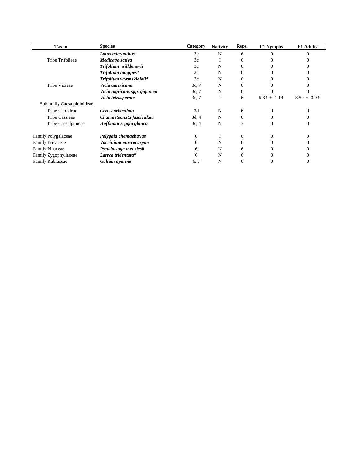| <b>Taxon</b>               | <b>Species</b>                | Category | <b>Nativity</b> | Reps. | <b>F1 Nymphs</b> | <b>F1</b> Adults |
|----------------------------|-------------------------------|----------|-----------------|-------|------------------|------------------|
|                            | Lotus micranthus              | 3c       | N               | 6     |                  |                  |
| Tribe Trifolieae           | Medicago sativa               | 3c       |                 | 6     |                  |                  |
|                            | Trifolium willdenovii         | 3c       | N               | 6     |                  |                  |
|                            | Trifolium longipes*           | 3c       | N               | 6     |                  |                  |
| <b>Tribe Vicieae</b>       | Trifolium wormskioldii*       | 3c       | N               | 6     |                  |                  |
|                            | Vicia americana               | 3c, 7    | N               | 6     |                  |                  |
|                            | Vicia nigricans spp. gigantea | 3c, 7    | N               | 6     |                  |                  |
|                            | Vicia tetrasperma             | 3c, 7    |                 | 6     | $5.33 \pm 1.14$  | $8.50 \pm 3.93$  |
| Subfamily Caesalpinioideae |                               |          |                 |       |                  |                  |
| Tribe Cercideae            | Cercis orbiculata             | 3d       | N               | 6     | 0                |                  |
| <b>Tribe Cassieae</b>      | Chamaetocrista fasciculata    | 3d, 4    | N               | 6     |                  |                  |
| Tribe Caesalpinieae        | Hoffmannseggia glauca         | 3c, 4    | N               | 3     |                  |                  |
| Family Polygalaceae        | Polygala chamaebuxus          | 6        |                 | 6     | 0                |                  |
| <b>Family Ericaceae</b>    | Vaccinium macrocarpon         | 6        | N               | 6     |                  |                  |
| <b>Family Pinaceae</b>     | Pseudotsuga menziesii         | 6        | N               | 6     |                  |                  |
| Family Zygophyllaceae      | Larrea tridentata*            | 6        | N               | 6     |                  |                  |
| <b>Family Rubiaceae</b>    | Galium aparine                | 6, 7     | N               | 6     |                  |                  |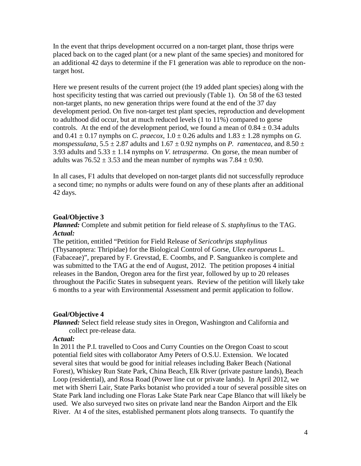an additional 42 days to determine if the F1 generation was able to reproduce on the non-In the event that thrips development occurred on a non-target plant, those thrips were placed back on to the caged plant (or a new plant of the same species) and monitored for target host.

controls. At the end of the development period, we found a mean of  $0.84 \pm 0.34$  adults Here we present results of the current project (the 19 added plant species) along with the host specificity testing that was carried out previously (Table 1). On 58 of the 63 tested non-target plants, no new generation thrips were found at the end of the 37 day development period. On five non-target test plant species, reproduction and development to adulthood did occur, but at much reduced levels (1 to 11%) compared to gorse and  $0.41 \pm 0.17$  nymphs on *C. praecox*,  $1.0 \pm 0.26$  adults and  $1.83 \pm 1.28$  nymphs on *G*. *monspessulana*,  $5.5 \pm 2.87$  adults and  $1.67 \pm 0.92$  nymphs on *P. ramentacea*, and  $8.50 \pm 0.92$ 3.93 adults and  $5.33 \pm 1.14$  nymphs on *V. tetrasperma*. On gorse, the mean number of adults was  $76.52 \pm 3.53$  and the mean number of nymphs was  $7.84 \pm 0.90$ .

 In all cases, F1 adults that developed on non-target plants did not successfully reproduce a second time; no nymphs or adults were found on any of these plants after an additional 42 days.

### **Goal/Objective 3**

*Planned:* Complete and submit petition for field release of *S. staphylinu*s to the TAG. *Actual:* 

 (Thysanoptera: Thripidae) for the Biological Control of Gorse, *Ulex europaeus* L. was submitted to the TAG at the end of August, 2012. The petition proposes 4 initial throughout the Pacific States in subsequent years. Review of the petition will likely take The petition, entitled "Petition for Field Release of *Sericothrips staphylinus*  (Fabaceae)", prepared by F. Grevstad, E. Coombs, and P. Sanguankeo is complete and releases in the Bandon, Oregon area for the first year, followed by up to 20 releases 6 months to a year with Environmental Assessment and permit application to follow.

### **Goal/Objective 4**

*Planned:* Select field release study sites in Oregon, Washington and California and collect pre-release data.

#### *Actual:*

 used. We also surveyed two sites on private land near the Bandon Airport and the Elk In 2011 the P.I. travelled to Coos and Curry Counties on the Oregon Coast to scout potential field sites with collaborator Amy Peters of O.S.U. Extension. We located several sites that would be good for initial releases including Baker Beach (National Forest), Whiskey Run State Park, China Beach, Elk River (private pasture lands), Beach Loop (residential), and Rosa Road (Power line cut or private lands). In April 2012, we met with Sherri Lair, State Parks botanist who provided a tour of several possible sites on State Park land including one Floras Lake State Park near Cape Blanco that will likely be River. At 4 of the sites, established permanent plots along transects. To quantify the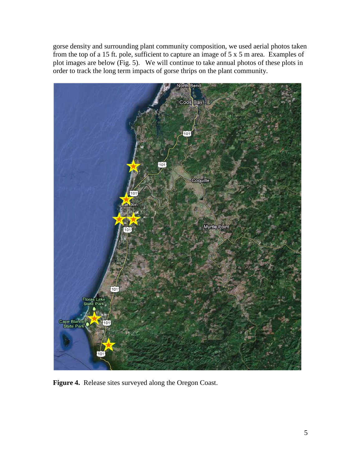plot images are below (Fig. 5). We will continue to take annual photos of these plots in gorse density and surrounding plant community composition, we used aerial photos taken from the top of a 15 ft. pole, sufficient to capture an image of  $5 \times 5$  m area. Examples of order to track the long term impacts of gorse thrips on the plant community.



**Figure 4.** Release sites surveyed along the Oregon Coast.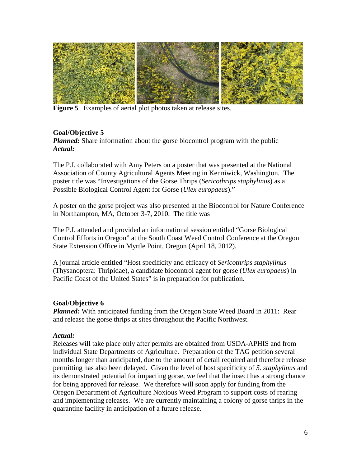

**Figure 5**. Examples of aerial plot photos taken at release sites.

## **Goal/Objective 5**

*Planned:* Share information about the gorse biocontrol program with the public *Actual:* 

The P.I. collaborated with Amy Peters on a poster that was presented at the National Association of County Agricultural Agents Meeting in Kenniwick, Washington. The poster title was "Investigations of the Gorse Thrips (*Sericothrips staphylinus*) as a Possible Biological Control Agent for Gorse (*Ulex europaeus*)."

 A poster on the gorse project was also presented at the Biocontrol for Nature Conference in Northampton, MA, October 3-7, 2010. The title was

The P.I. attended and provided an informational session entitled "Gorse Biological Control Efforts in Oregon" at the South Coast Weed Control Conference at the Oregon State Extension Office in Myrtle Point, Oregon (April 18, 2012).

 A journal article entitled "Host specificity and efficacy of *Sericothrips staphylinus*  (Thysanoptera: Thripidae), a candidate biocontrol agent for gorse (*Ulex europaeus*) in Pacific Coast of the United States" is in preparation for publication.

## **Goal/Objective 6**

*Planned:* With anticipated funding from the Oregon State Weed Board in 2011: Rear and release the gorse thrips at sites throughout the Pacific Northwest.

### *Actual:*

 and implementing releases. We are currently maintaining a colony of gorse thrips in the quarantine facility in anticipation of a future release.<br>
6 Releases will take place only after permits are obtained from USDA-APHIS and from individual State Departments of Agriculture. Preparation of the TAG petition several months longer than anticipated, due to the amount of detail required and therefore release permitting has also been delayed. Given the level of host specificity of *S. staphylinus* and its demonstrated potential for impacting gorse, we feel that the insect has a strong chance for being approved for release. We therefore will soon apply for funding from the Oregon Department of Agriculture Noxious Weed Program to support costs of rearing